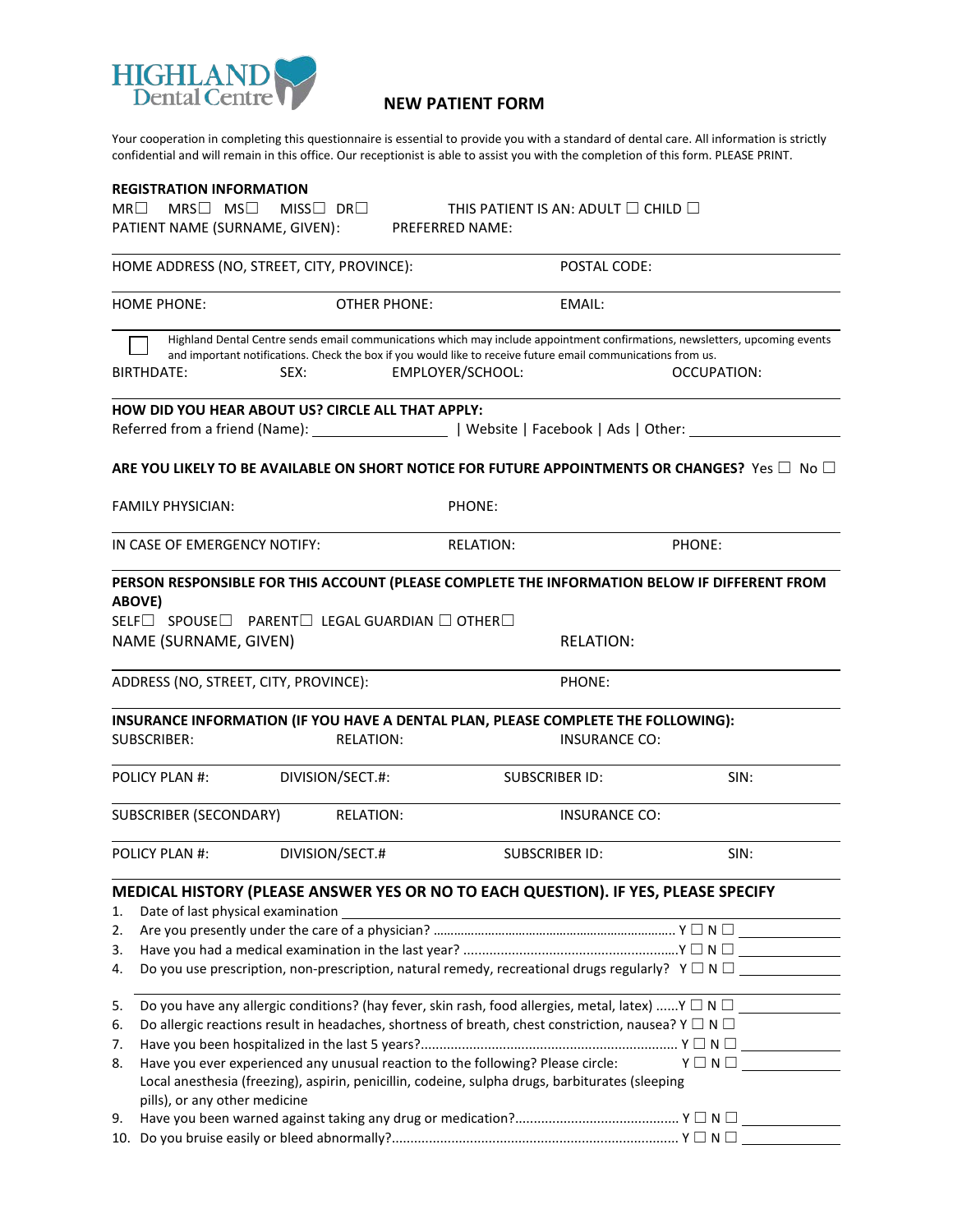

## **NEW PATIENT FORM**

Your cooperation in completing this questionnaire is essential to provide you with a standard of dental care. All information is strictly confidential and will remain in this office. Our receptionist is able to assist you with the completion of this form. PLEASE PRINT.

| <b>REGISTRATION INFORMATION</b>                                                                                                                                                                                                                                         |                     |                                                                                                                                                                                                                                                                                                     |                                                                                                                                                                                                |  |  |
|-------------------------------------------------------------------------------------------------------------------------------------------------------------------------------------------------------------------------------------------------------------------------|---------------------|-----------------------------------------------------------------------------------------------------------------------------------------------------------------------------------------------------------------------------------------------------------------------------------------------------|------------------------------------------------------------------------------------------------------------------------------------------------------------------------------------------------|--|--|
| $MR\Box$<br>$MRS \Box$ $MS \Box$                                                                                                                                                                                                                                        | $MISS$ DR $\Box$    | THIS PATIENT IS AN: ADULT $\Box$ CHILD $\Box$                                                                                                                                                                                                                                                       |                                                                                                                                                                                                |  |  |
| PATIENT NAME (SURNAME, GIVEN):                                                                                                                                                                                                                                          |                     | <b>PREFERRED NAME:</b>                                                                                                                                                                                                                                                                              |                                                                                                                                                                                                |  |  |
| HOME ADDRESS (NO, STREET, CITY, PROVINCE):                                                                                                                                                                                                                              |                     |                                                                                                                                                                                                                                                                                                     | POSTAL CODE:                                                                                                                                                                                   |  |  |
| <b>HOME PHONE:</b>                                                                                                                                                                                                                                                      | <b>OTHER PHONE:</b> | EMAIL:                                                                                                                                                                                                                                                                                              |                                                                                                                                                                                                |  |  |
| BIRTHDATE:                                                                                                                                                                                                                                                              | SEX:                | and important notifications. Check the box if you would like to receive future email communications from us.<br>EMPLOYER/SCHOOL:                                                                                                                                                                    | Highland Dental Centre sends email communications which may include appointment confirmations, newsletters, upcoming events<br>OCCUPATION:                                                     |  |  |
| HOW DID YOU HEAR ABOUT US? CIRCLE ALL THAT APPLY:                                                                                                                                                                                                                       |                     |                                                                                                                                                                                                                                                                                                     |                                                                                                                                                                                                |  |  |
|                                                                                                                                                                                                                                                                         |                     |                                                                                                                                                                                                                                                                                                     |                                                                                                                                                                                                |  |  |
|                                                                                                                                                                                                                                                                         |                     |                                                                                                                                                                                                                                                                                                     | ARE YOU LIKELY TO BE AVAILABLE ON SHORT NOTICE FOR FUTURE APPOINTMENTS OR CHANGES? Yes $\Box$ No $\Box$                                                                                        |  |  |
| <b>FAMILY PHYSICIAN:</b>                                                                                                                                                                                                                                                |                     | PHONE:                                                                                                                                                                                                                                                                                              |                                                                                                                                                                                                |  |  |
| IN CASE OF EMERGENCY NOTIFY:                                                                                                                                                                                                                                            |                     | <b>RELATION:</b>                                                                                                                                                                                                                                                                                    | PHONE:                                                                                                                                                                                         |  |  |
| PERSON RESPONSIBLE FOR THIS ACCOUNT (PLEASE COMPLETE THE INFORMATION BELOW IF DIFFERENT FROM<br>ABOVE)<br>$\mathsf{SELF}\Box\ \mathsf{SPOUSE}\Box\ \mathsf{PARENT}\Box\ \mathsf{LEGAL GUARDIAN}\ \Box\ \mathsf{OTHER}\Box$<br>NAME (SURNAME, GIVEN)<br><b>RELATION:</b> |                     |                                                                                                                                                                                                                                                                                                     |                                                                                                                                                                                                |  |  |
| ADDRESS (NO, STREET, CITY, PROVINCE):                                                                                                                                                                                                                                   |                     |                                                                                                                                                                                                                                                                                                     | PHONE:                                                                                                                                                                                         |  |  |
| <b>SUBSCRIBER:</b>                                                                                                                                                                                                                                                      | <b>RELATION:</b>    | INSURANCE INFORMATION (IF YOU HAVE A DENTAL PLAN, PLEASE COMPLETE THE FOLLOWING):                                                                                                                                                                                                                   | <b>INSURANCE CO:</b>                                                                                                                                                                           |  |  |
| POLICY PLAN #:                                                                                                                                                                                                                                                          | DIVISION/SECT.#:    | <b>SUBSCRIBER ID:</b>                                                                                                                                                                                                                                                                               | SIN:                                                                                                                                                                                           |  |  |
| SUBSCRIBER (SECONDARY)                                                                                                                                                                                                                                                  | <b>RELATION:</b>    |                                                                                                                                                                                                                                                                                                     | <b>INSURANCE CO:</b>                                                                                                                                                                           |  |  |
| <b>POLICY PLAN #:</b>                                                                                                                                                                                                                                                   | DIVISION/SECT.#     | <b>SUBSCRIBER ID:</b>                                                                                                                                                                                                                                                                               | SIN:                                                                                                                                                                                           |  |  |
| Date of last physical examination<br>1.<br>2.<br>3.<br>4.                                                                                                                                                                                                               |                     |                                                                                                                                                                                                                                                                                                     | MEDICAL HISTORY (PLEASE ANSWER YES OR NO TO EACH QUESTION). IF YES, PLEASE SPECIFY<br>Do you use prescription, non-prescription, natural remedy, recreational drugs regularly? $Y \Box N \Box$ |  |  |
| 5.<br>6.<br>7.<br>8.<br>pills), or any other medicine<br>9.                                                                                                                                                                                                             |                     | Do allergic reactions result in headaches, shortness of breath, chest constriction, nausea? Y $\Box$ N $\Box$<br>Have you ever experienced any unusual reaction to the following? Please circle:<br>Local anesthesia (freezing), aspirin, penicillin, codeine, sulpha drugs, barbiturates (sleeping | Do you have any allergic conditions? (hay fever, skin rash, food allergies, metal, latex) Y $\Box \Box$<br>$Y \Box N \Box$                                                                     |  |  |

| 10. Do you bruise easily or bleed abnormally?. |  | -N |  |
|------------------------------------------------|--|----|--|